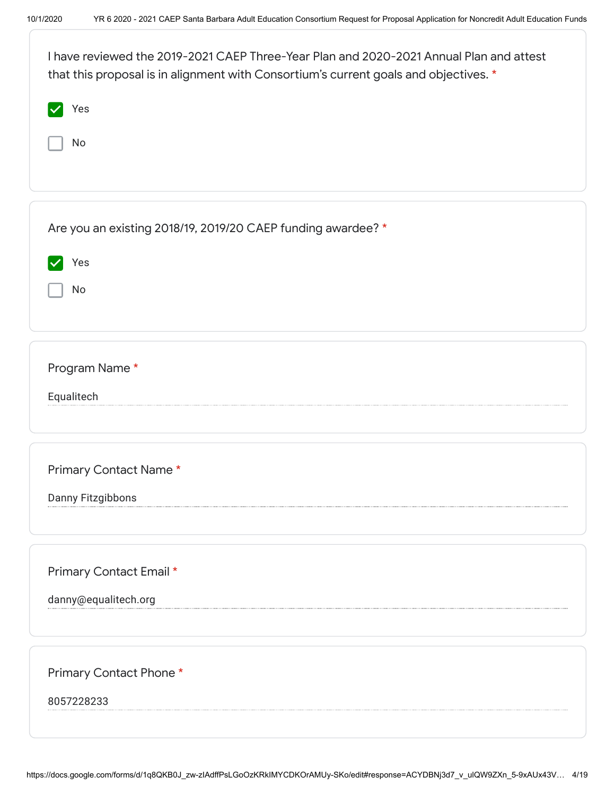| I have reviewed the 2019-2021 CAEP Three-Year Plan and 2020-2021 Annual Plan and attest<br>that this proposal is in alignment with Consortium's current goals and objectives. * |
|---------------------------------------------------------------------------------------------------------------------------------------------------------------------------------|
| Yes                                                                                                                                                                             |
| No                                                                                                                                                                              |
|                                                                                                                                                                                 |
| Are you an existing 2018/19, 2019/20 CAEP funding awardee? *                                                                                                                    |
| Yes                                                                                                                                                                             |
| No                                                                                                                                                                              |
|                                                                                                                                                                                 |
| Program Name*                                                                                                                                                                   |
| Equalitech                                                                                                                                                                      |
|                                                                                                                                                                                 |
| Primary Contact Name*                                                                                                                                                           |
| Danny Fitzgibbons                                                                                                                                                               |
|                                                                                                                                                                                 |
| Primary Contact Email *                                                                                                                                                         |
| danny@equalitech.org                                                                                                                                                            |
|                                                                                                                                                                                 |
| Primary Contact Phone *                                                                                                                                                         |
| 8057228233                                                                                                                                                                      |
|                                                                                                                                                                                 |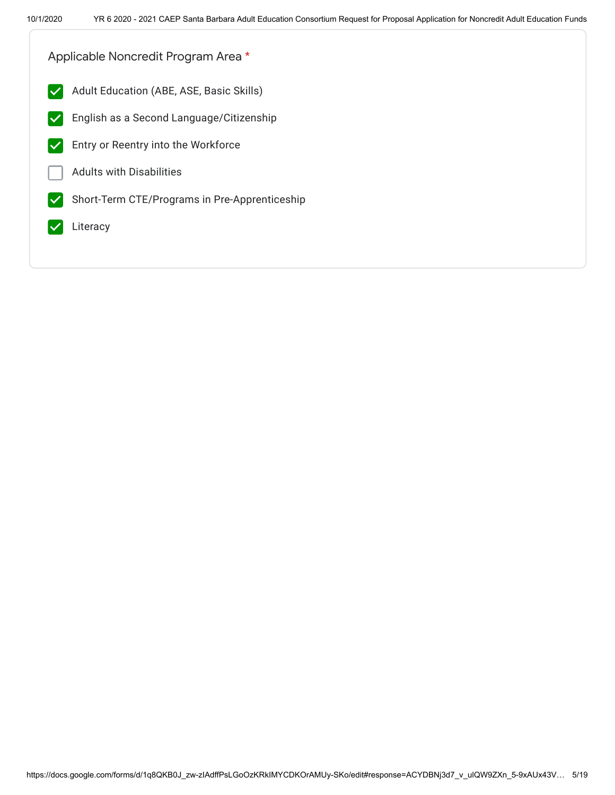Applicable Noncredit Program Area \*

- **Adult Education (ABE, ASE, Basic Skills)**
- English as a Second Language/Citizenship  $|\boldsymbol{\mathcal{p}}|$
- Entry or Reentry into the Workforce
- Adults with Disabilities
- Short-Term CTE/Programs in Pre-Apprenticeship  $\blacktriangledown$
- Literacy  $\blacktriangledown$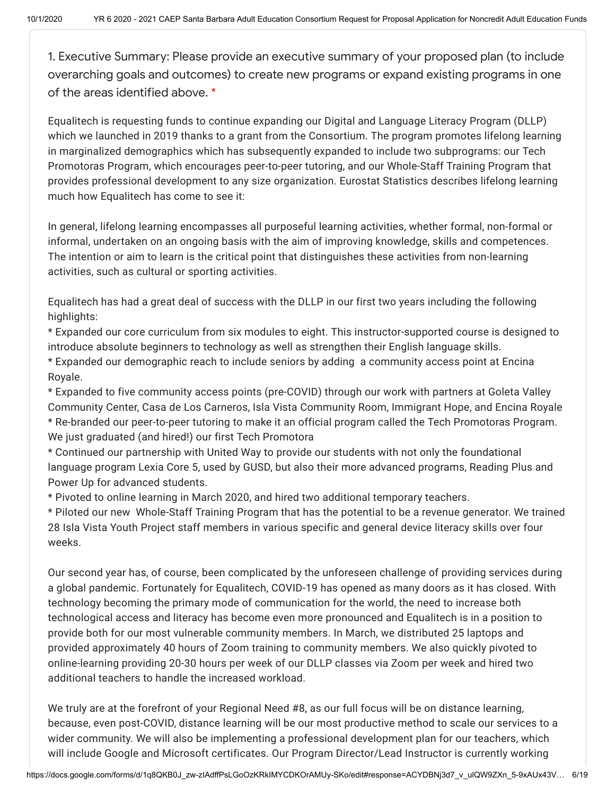1. Executive Summary: Please provide an executive summary of your proposed plan (to include overarching goals and outcomes) to create new programs or expand existing programs in one of the areas identified above. \*

Equalitech is requesting funds to continue expanding our Digital and Language Literacy Program (DLLP) which we launched in 2019 thanks to a grant from the Consortium. The program promotes lifelong learning in marginalized demographics which has subsequently expanded to include two subprograms: our Tech Promotoras Program, which encourages peer-to-peer tutoring, and our Whole-Staff Training Program that provides professional development to any size organization. Eurostat Statistics describes lifelong learning much how Equalitech has come to see it:

In general, lifelong learning encompasses all purposeful learning activities, whether formal, non-formal or informal, undertaken on an ongoing basis with the aim of improving knowledge, skills and competences. The intention or aim to learn is the critical point that distinguishes these activities from non-learning activities, such as cultural or sporting activities.

Equalitech has had a great deal of success with the DLLP in our first two years including the following highlights:

\* Expanded our core curriculum from six modules to eight. This instructor-supported course is designed to introduce absolute beginners to technology as well as strengthen their English language skills. \* Expanded our demographic reach to include seniors by adding a community access point at Encina Royale.

\* Expanded to five community access points (pre-COVID) through our work with partners at Goleta Valley Community Center, Casa de Los Carneros, Isla Vista Community Room, Immigrant Hope, and Encina Royale \* Re-branded our peer-to-peer tutoring to make it an official program called the Tech Promotoras Program. We just graduated (and hired!) our first Tech Promotora

\* Continued our partnership with United Way to provide our students with not only the foundational language program Lexia Core 5, used by GUSD, but also their more advanced programs, Reading Plus and Power Up for advanced students.

\* Pivoted to online learning in March 2020, and hired two additional temporary teachers.

\* Piloted our new Whole-Staff Training Program that has the potential to be a revenue generator. We trained 28 Isla Vista Youth Project staff members in various specific and general device literacy skills over four weeks.

Our second year has, of course, been complicated by the unforeseen challenge of providing services during a global pandemic. Fortunately for Equalitech, COVID-19 has opened as many doors as it has closed. With technology becoming the primary mode of communication for the world, the need to increase both technological access and literacy has become even more pronounced and Equalitech is in a position to provide both for our most vulnerable community members. In March, we distributed 25 laptops and provided approximately 40 hours of Zoom training to community members. We also quickly pivoted to online-learning providing 20-30 hours per week of our DLLP classes via Zoom per week and hired two additional teachers to handle the increased workload.

We truly are at the forefront of your Regional Need #8, as our full focus will be on distance learning, because, even post-COVID, distance learning will be our most productive method to scale our services to a wider community. We will also be implementing a professional development plan for our teachers, which will include Google and Microsoft certificates. Our Program Director/Lead Instructor is currently working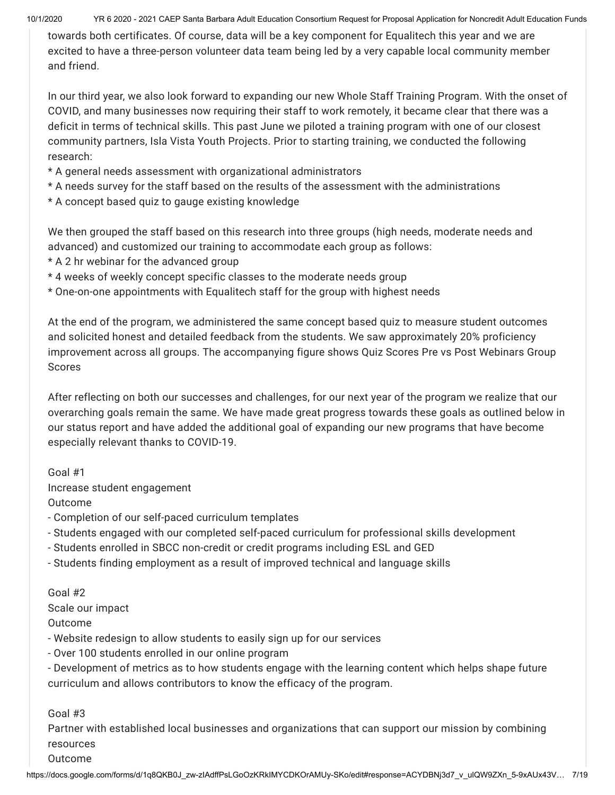10/1/2020 YR 6 2020 - 2021 CAEP Santa Barbara Adult Education Consortium Request for Proposal Application for Noncredit Adult Education Funds

towards both certificates. Of course, data will be a key component for Equalitech this year and we are excited to have a three-person volunteer data team being led by a very capable local community member and friend.

In our third year, we also look forward to expanding our new Whole Staff Training Program. With the onset of COVID, and many businesses now requiring their staff to work remotely, it became clear that there was a deficit in terms of technical skills. This past June we piloted a training program with one of our closest community partners, Isla Vista Youth Projects. Prior to starting training, we conducted the following research:

- \* A general needs assessment with organizational administrators
- \* A needs survey for the staff based on the results of the assessment with the administrations
- \* A concept based quiz to gauge existing knowledge

We then grouped the staff based on this research into three groups (high needs, moderate needs and advanced) and customized our training to accommodate each group as follows:

- \* A 2 hr webinar for the advanced group
- \* 4 weeks of weekly concept specific classes to the moderate needs group
- \* One-on-one appointments with Equalitech staff for the group with highest needs

At the end of the program, we administered the same concept based quiz to measure student outcomes and solicited honest and detailed feedback from the students. We saw approximately 20% proficiency improvement across all groups. The accompanying figure shows Quiz Scores Pre vs Post Webinars Group Scores

After reflecting on both our successes and challenges, for our next year of the program we realize that our overarching goals remain the same. We have made great progress towards these goals as outlined below in our status report and have added the additional goal of expanding our new programs that have become especially relevant thanks to COVID-19.

Goal #1 Increase student engagement

Outcome

- Completion of our self-paced curriculum templates
- Students engaged with our completed self-paced curriculum for professional skills development
- Students enrolled in SBCC non-credit or credit programs including ESL and GED
- Students finding employment as a result of improved technical and language skills

Goal #2 Scale our impact

Outcome

- Website redesign to allow students to easily sign up for our services
- Over 100 students enrolled in our online program

- Development of metrics as to how students engage with the learning content which helps shape future curriculum and allows contributors to know the efficacy of the program.

Goal #3

Partner with established local businesses and organizations that can support our mission by combining resources

Outcome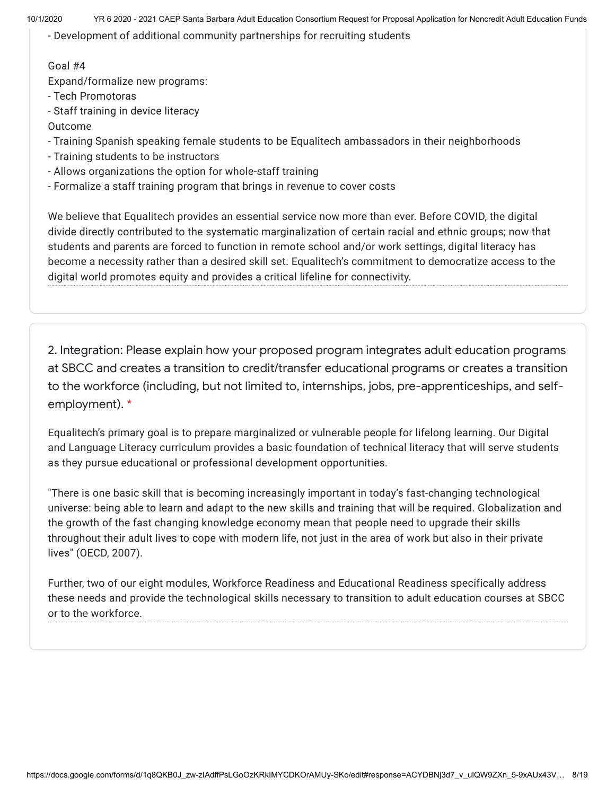- Development of additional community partnerships for recruiting students

## Goal #4

Expand/formalize new programs:

- Tech Promotoras

- Staff training in device literacy

Outcome

- Training Spanish speaking female students to be Equalitech ambassadors in their neighborhoods

- Training students to be instructors
- Allows organizations the option for whole-staff training
- Formalize a staff training program that brings in revenue to cover costs

We believe that Equalitech provides an essential service now more than ever. Before COVID, the digital divide directly contributed to the systematic marginalization of certain racial and ethnic groups; now that students and parents are forced to function in remote school and/or work settings, digital literacy has become a necessity rather than a desired skill set. Equalitech's commitment to democratize access to the digital world promotes equity and provides a critical lifeline for connectivity.

2. Integration: Please explain how your proposed program integrates adult education programs at SBCC and creates a transition to credit/transfer educational programs or creates a transition to the workforce (including, but not limited to, internships, jobs, pre-apprenticeships, and selfemployment). \*

Equalitech's primary goal is to prepare marginalized or vulnerable people for lifelong learning. Our Digital and Language Literacy curriculum provides a basic foundation of technical literacy that will serve students as they pursue educational or professional development opportunities.

"There is one basic skill that is becoming increasingly important in today's fast-changing technological universe: being able to learn and adapt to the new skills and training that will be required. Globalization and the growth of the fast changing knowledge economy mean that people need to upgrade their skills throughout their adult lives to cope with modern life, not just in the area of work but also in their private lives" (OECD, 2007).

Further, two of our eight modules, Workforce Readiness and Educational Readiness specifically address these needs and provide the technological skills necessary to transition to adult education courses at SBCC or to the workforce.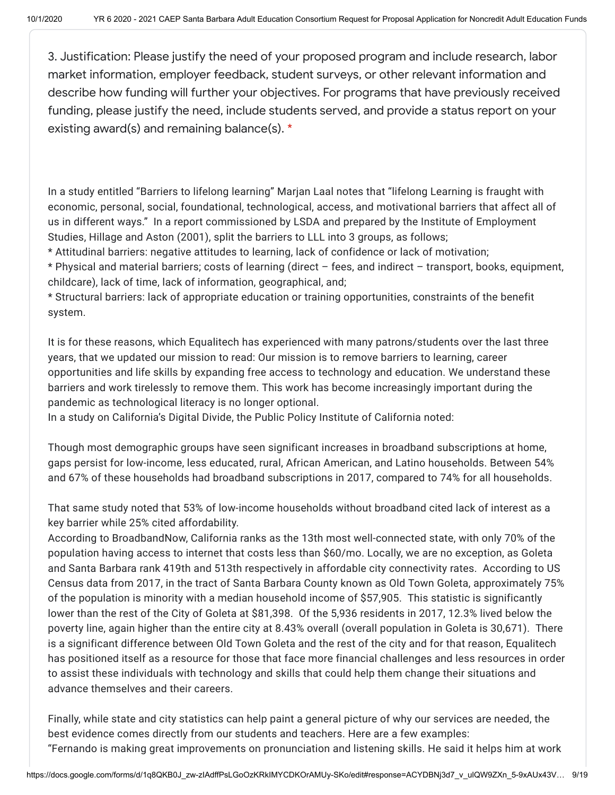3. Justification: Please justify the need of your proposed program and include research, labor market information, employer feedback, student surveys, or other relevant information and describe how funding will further your objectives. For programs that have previously received funding, please justify the need, include students served, and provide a status report on your existing award(s) and remaining balance(s). \*

In a study entitled "Barriers to lifelong learning" Marjan Laal notes that "lifelong Learning is fraught with economic, personal, social, foundational, technological, access, and motivational barriers that affect all of us in different ways." In a report commissioned by LSDA and prepared by the Institute of Employment Studies, Hillage and Aston (2001), split the barriers to LLL into 3 groups, as follows;

\* Attitudinal barriers: negative attitudes to learning, lack of confidence or lack of motivation;

\* Physical and material barriers; costs of learning (direct – fees, and indirect – transport, books, equipment, childcare), lack of time, lack of information, geographical, and;

\* Structural barriers: lack of appropriate education or training opportunities, constraints of the benefit system.

It is for these reasons, which Equalitech has experienced with many patrons/students over the last three years, that we updated our mission to read: Our mission is to remove barriers to learning, career opportunities and life skills by expanding free access to technology and education. We understand these barriers and work tirelessly to remove them. This work has become increasingly important during the pandemic as technological literacy is no longer optional.

In a study on California's Digital Divide, the Public Policy Institute of California noted:

Though most demographic groups have seen significant increases in broadband subscriptions at home, gaps persist for low-income, less educated, rural, African American, and Latino households. Between 54% and 67% of these households had broadband subscriptions in 2017, compared to 74% for all households.

That same study noted that 53% of low-income households without broadband cited lack of interest as a key barrier while 25% cited affordability.

According to BroadbandNow, California ranks as the 13th most well-connected state, with only 70% of the population having access to internet that costs less than \$60/mo. Locally, we are no exception, as Goleta and Santa Barbara rank 419th and 513th respectively in affordable city connectivity rates. According to US Census data from 2017, in the tract of Santa Barbara County known as Old Town Goleta, approximately 75% of the population is minority with a median household income of \$57,905. This statistic is significantly lower than the rest of the City of Goleta at \$81,398. Of the 5,936 residents in 2017, 12.3% lived below the poverty line, again higher than the entire city at 8.43% overall (overall population in Goleta is 30,671). There is a significant difference between Old Town Goleta and the rest of the city and for that reason, Equalitech has positioned itself as a resource for those that face more financial challenges and less resources in order to assist these individuals with technology and skills that could help them change their situations and advance themselves and their careers.

Finally, while state and city statistics can help paint a general picture of why our services are needed, the best evidence comes directly from our students and teachers. Here are a few examples: "Fernando is making great improvements on pronunciation and listening skills. He said it helps him at work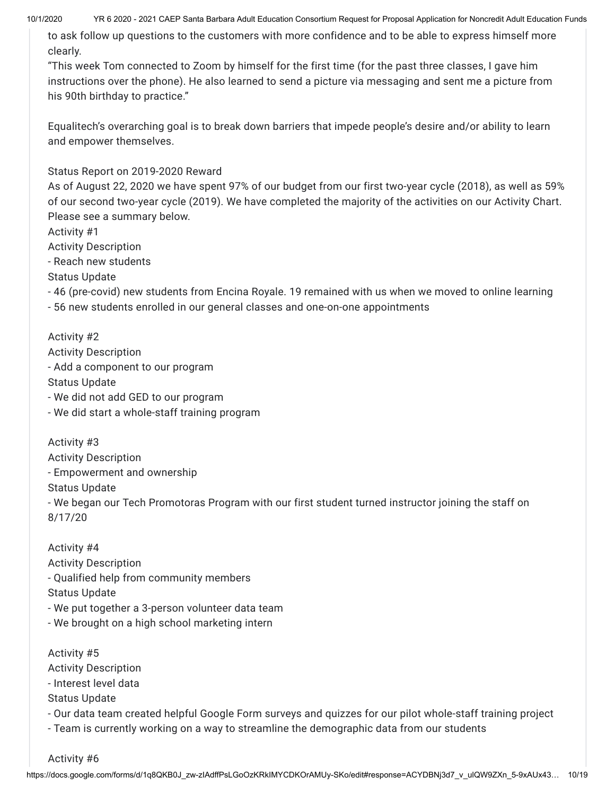10/1/2020 YR 6 2020 - 2021 CAEP Santa Barbara Adult Education Consortium Request for Proposal Application for Noncredit Adult Education Funds

to ask follow up questions to the customers with more confidence and to be able to express himself more clearly.

"This week Tom connected to Zoom by himself for the first time (for the past three classes, I gave him instructions over the phone). He also learned to send a picture via messaging and sent me a picture from his 90th birthday to practice."

Equalitech's overarching goal is to break down barriers that impede people's desire and/or ability to learn and empower themselves.

Status Report on 2019-2020 Reward

As of August 22, 2020 we have spent 97% of our budget from our first two-year cycle (2018), as well as 59% of our second two-year cycle (2019). We have completed the majority of the activities on our Activity Chart. Please see a summary below.

Activity #1

Activity Description

- Reach new students

Status Update

- 46 (pre-covid) new students from Encina Royale. 19 remained with us when we moved to online learning

- 56 new students enrolled in our general classes and one-on-one appointments

Activity #2 Activity Description - Add a component to our program Status Update - We did not add GED to our program - We did start a whole-staff training program

Activity #3 Activity Description - Empowerment and ownership Status Update - We began our Tech Promotoras Program with our first student turned instructor joining the staff on 8/17/20

Activity #4 Activity Description - Qualified help from community members Status Update - We put together a 3-person volunteer data team - We brought on a high school marketing intern

Activity #5 Activity Description - Interest level data Status Update - Our data team created helpful Google Form surveys and quizzes for our pilot whole-staff training project

- Team is currently working on a way to streamline the demographic data from our students

Activity #6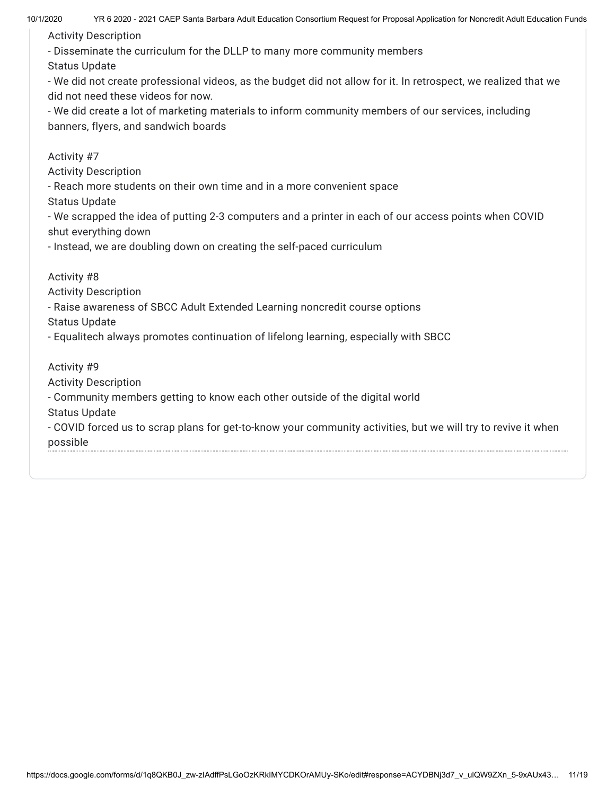Activity Description

- Disseminate the curriculum for the DLLP to many more community members

Status Update

- We did not create professional videos, as the budget did not allow for it. In retrospect, we realized that we did not need these videos for now.

- We did create a lot of marketing materials to inform community members of our services, including banners, flyers, and sandwich boards

Activity #7

Activity Description

- Reach more students on their own time and in a more convenient space

Status Update

- We scrapped the idea of putting 2-3 computers and a printer in each of our access points when COVID shut everything down

- Instead, we are doubling down on creating the self-paced curriculum

Activity #8

Activity Description

- Raise awareness of SBCC Adult Extended Learning noncredit course options

Status Update

- Equalitech always promotes continuation of lifelong learning, especially with SBCC

Activity #9 Activity Description

- Community members getting to know each other outside of the digital world

Status Update

- COVID forced us to scrap plans for get-to-know your community activities, but we will try to revive it when possible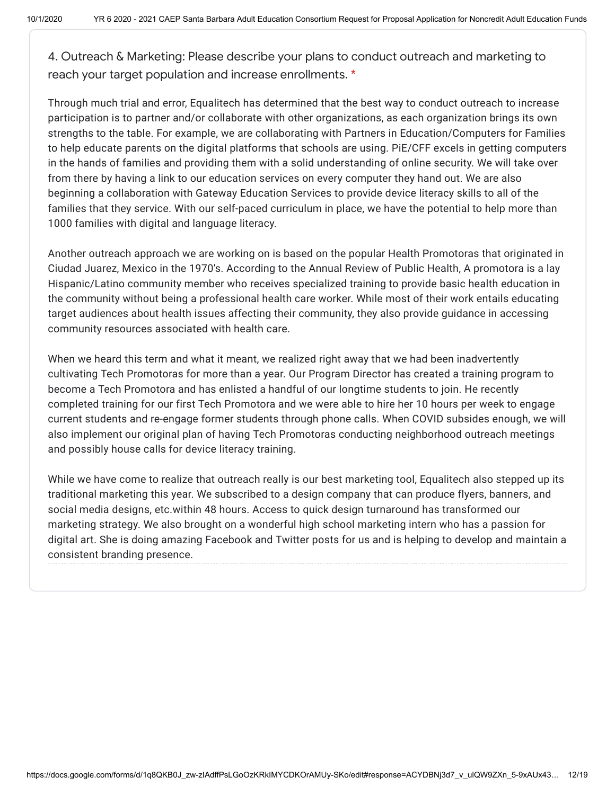4. Outreach & Marketing: Please describe your plans to conduct outreach and marketing to reach your target population and increase enrollments. \*

Through much trial and error, Equalitech has determined that the best way to conduct outreach to increase participation is to partner and/or collaborate with other organizations, as each organization brings its own strengths to the table. For example, we are collaborating with Partners in Education/Computers for Families to help educate parents on the digital platforms that schools are using. PiE/CFF excels in getting computers in the hands of families and providing them with a solid understanding of online security. We will take over from there by having a link to our education services on every computer they hand out. We are also beginning a collaboration with Gateway Education Services to provide device literacy skills to all of the families that they service. With our self-paced curriculum in place, we have the potential to help more than 1000 families with digital and language literacy.

Another outreach approach we are working on is based on the popular Health Promotoras that originated in Ciudad Juarez, Mexico in the 1970's. According to the Annual Review of Public Health, A promotora is a lay Hispanic/Latino community member who receives specialized training to provide basic health education in the community without being a professional health care worker. While most of their work entails educating target audiences about health issues affecting their community, they also provide guidance in accessing community resources associated with health care.

When we heard this term and what it meant, we realized right away that we had been inadvertently cultivating Tech Promotoras for more than a year. Our Program Director has created a training program to become a Tech Promotora and has enlisted a handful of our longtime students to join. He recently completed training for our first Tech Promotora and we were able to hire her 10 hours per week to engage current students and re-engage former students through phone calls. When COVID subsides enough, we will also implement our original plan of having Tech Promotoras conducting neighborhood outreach meetings and possibly house calls for device literacy training.

While we have come to realize that outreach really is our best marketing tool, Equalitech also stepped up its traditional marketing this year. We subscribed to a design company that can produce flyers, banners, and social media designs, etc.within 48 hours. Access to quick design turnaround has transformed our marketing strategy. We also brought on a wonderful high school marketing intern who has a passion for digital art. She is doing amazing Facebook and Twitter posts for us and is helping to develop and maintain a consistent branding presence.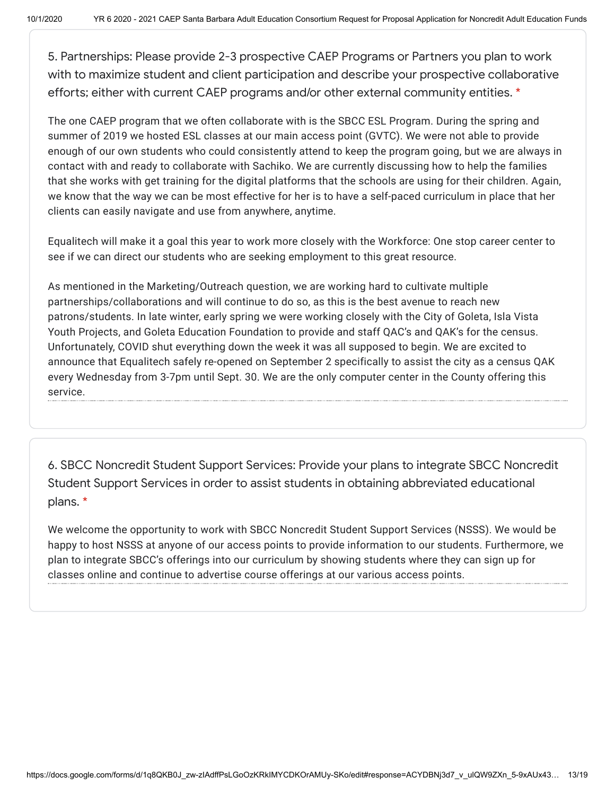5. Partnerships: Please provide 2-3 prospective CAEP Programs or Partners you plan to work with to maximize student and client participation and describe your prospective collaborative efforts; either with current CAEP programs and/or other external community entities. \*

The one CAEP program that we often collaborate with is the SBCC ESL Program. During the spring and summer of 2019 we hosted ESL classes at our main access point (GVTC). We were not able to provide enough of our own students who could consistently attend to keep the program going, but we are always in contact with and ready to collaborate with Sachiko. We are currently discussing how to help the families that she works with get training for the digital platforms that the schools are using for their children. Again, we know that the way we can be most effective for her is to have a self-paced curriculum in place that her clients can easily navigate and use from anywhere, anytime.

Equalitech will make it a goal this year to work more closely with the Workforce: One stop career center to see if we can direct our students who are seeking employment to this great resource.

As mentioned in the Marketing/Outreach question, we are working hard to cultivate multiple partnerships/collaborations and will continue to do so, as this is the best avenue to reach new patrons/students. In late winter, early spring we were working closely with the City of Goleta, Isla Vista Youth Projects, and Goleta Education Foundation to provide and staff QAC's and QAK's for the census. Unfortunately, COVID shut everything down the week it was all supposed to begin. We are excited to announce that Equalitech safely re-opened on September 2 specifically to assist the city as a census QAK every Wednesday from 3-7pm until Sept. 30. We are the only computer center in the County offering this service.

6. SBCC Noncredit Student Support Services: Provide your plans to integrate SBCC Noncredit Student Support Services in order to assist students in obtaining abbreviated educational plans. \*

We welcome the opportunity to work with SBCC Noncredit Student Support Services (NSSS). We would be happy to host NSSS at anyone of our access points to provide information to our students. Furthermore, we plan to integrate SBCC's offerings into our curriculum by showing students where they can sign up for classes online and continue to advertise course offerings at our various access points.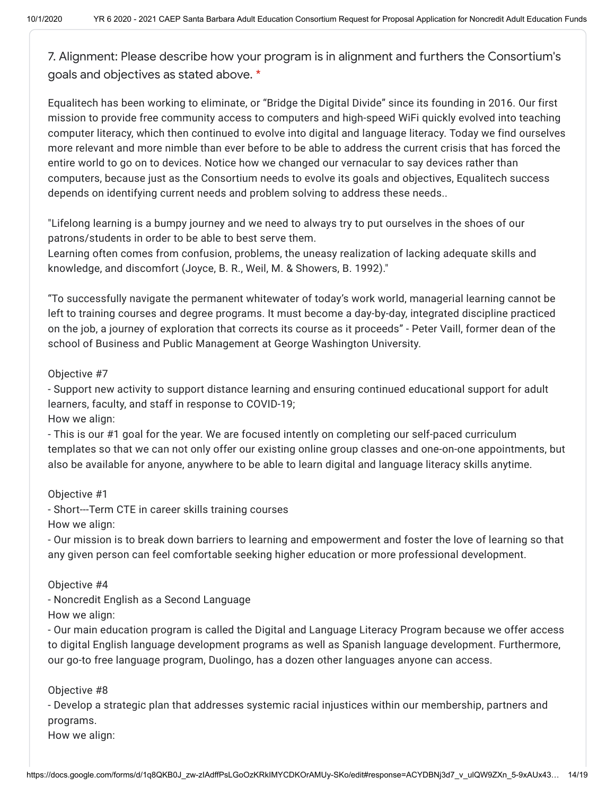7. Alignment: Please describe how your program is in alignment and furthers the Consortium's goals and objectives as stated above. \*

Equalitech has been working to eliminate, or "Bridge the Digital Divide" since its founding in 2016. Our first mission to provide free community access to computers and high-speed WiFi quickly evolved into teaching computer literacy, which then continued to evolve into digital and language literacy. Today we find ourselves more relevant and more nimble than ever before to be able to address the current crisis that has forced the entire world to go on to devices. Notice how we changed our vernacular to say devices rather than computers, because just as the Consortium needs to evolve its goals and objectives, Equalitech success depends on identifying current needs and problem solving to address these needs..

"Lifelong learning is a bumpy journey and we need to always try to put ourselves in the shoes of our patrons/students in order to be able to best serve them.

Learning often comes from confusion, problems, the uneasy realization of lacking adequate skills and knowledge, and discomfort (Joyce, B. R., Weil, M. & Showers, B. 1992)."

"To successfully navigate the permanent whitewater of today's work world, managerial learning cannot be left to training courses and degree programs. It must become a day-by-day, integrated discipline practiced on the job, a journey of exploration that corrects its course as it proceeds" - Peter Vaill, former dean of the school of Business and Public Management at George Washington University.

# Objective #7

- Support new activity to support distance learning and ensuring continued educational support for adult learners, faculty, and staff in response to COVID-19;

How we align:

- This is our #1 goal for the year. We are focused intently on completing our self-paced curriculum templates so that we can not only offer our existing online group classes and one-on-one appointments, but also be available for anyone, anywhere to be able to learn digital and language literacy skills anytime.

# Objective #1

- Short---Term CTE in career skills training courses How we align:

- Our mission is to break down barriers to learning and empowerment and foster the love of learning so that any given person can feel comfortable seeking higher education or more professional development.

## Objective #4

- Noncredit English as a Second Language

How we align:

- Our main education program is called the Digital and Language Literacy Program because we offer access to digital English language development programs as well as Spanish language development. Furthermore, our go-to free language program, Duolingo, has a dozen other languages anyone can access.

# Objective #8

- Develop a strategic plan that addresses systemic racial injustices within our membership, partners and programs.

How we align: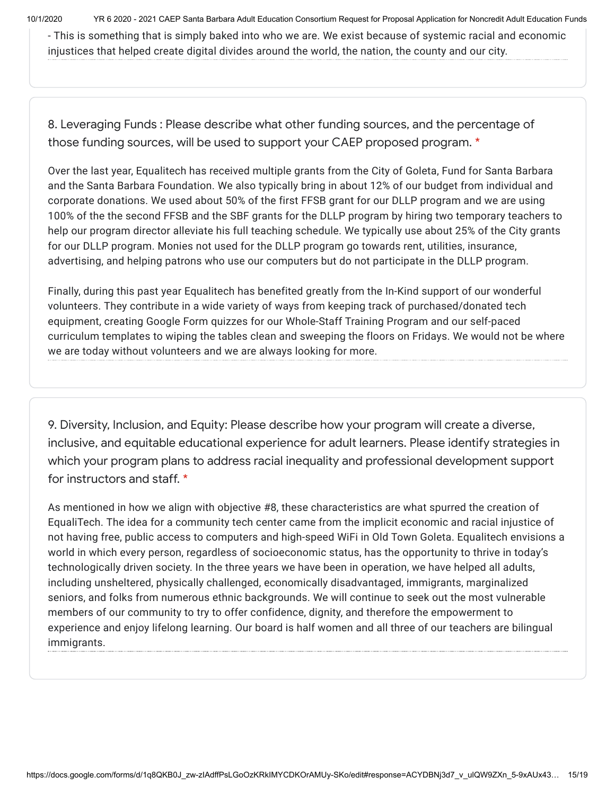10/1/2020 YR 6 2020 - 2021 CAEP Santa Barbara Adult Education Consortium Request for Proposal Application for Noncredit Adult Education Funds

- This is something that is simply baked into who we are. We exist because of systemic racial and economic injustices that helped create digital divides around the world, the nation, the county and our city.

8. Leveraging Funds : Please describe what other funding sources, and the percentage of those funding sources, will be used to support your CAEP proposed program. \*

Over the last year, Equalitech has received multiple grants from the City of Goleta, Fund for Santa Barbara and the Santa Barbara Foundation. We also typically bring in about 12% of our budget from individual and corporate donations. We used about 50% of the first FFSB grant for our DLLP program and we are using 100% of the the second FFSB and the SBF grants for the DLLP program by hiring two temporary teachers to help our program director alleviate his full teaching schedule. We typically use about 25% of the City grants for our DLLP program. Monies not used for the DLLP program go towards rent, utilities, insurance, advertising, and helping patrons who use our computers but do not participate in the DLLP program.

Finally, during this past year Equalitech has benefited greatly from the In-Kind support of our wonderful volunteers. They contribute in a wide variety of ways from keeping track of purchased/donated tech equipment, creating Google Form quizzes for our Whole-Staff Training Program and our self-paced curriculum templates to wiping the tables clean and sweeping the floors on Fridays. We would not be where we are today without volunteers and we are always looking for more.

9. Diversity, Inclusion, and Equity: Please describe how your program will create a diverse, inclusive, and equitable educational experience for adult learners. Please identify strategies in which your program plans to address racial inequality and professional development support for instructors and staff. \*

As mentioned in how we align with objective #8, these characteristics are what spurred the creation of EqualiTech. The idea for a community tech center came from the implicit economic and racial injustice of not having free, public access to computers and high-speed WiFi in Old Town Goleta. Equalitech envisions a world in which every person, regardless of socioeconomic status, has the opportunity to thrive in today's technologically driven society. In the three years we have been in operation, we have helped all adults, including unsheltered, physically challenged, economically disadvantaged, immigrants, marginalized seniors, and folks from numerous ethnic backgrounds. We will continue to seek out the most vulnerable members of our community to try to offer confidence, dignity, and therefore the empowerment to experience and enjoy lifelong learning. Our board is half women and all three of our teachers are bilingual immigrants.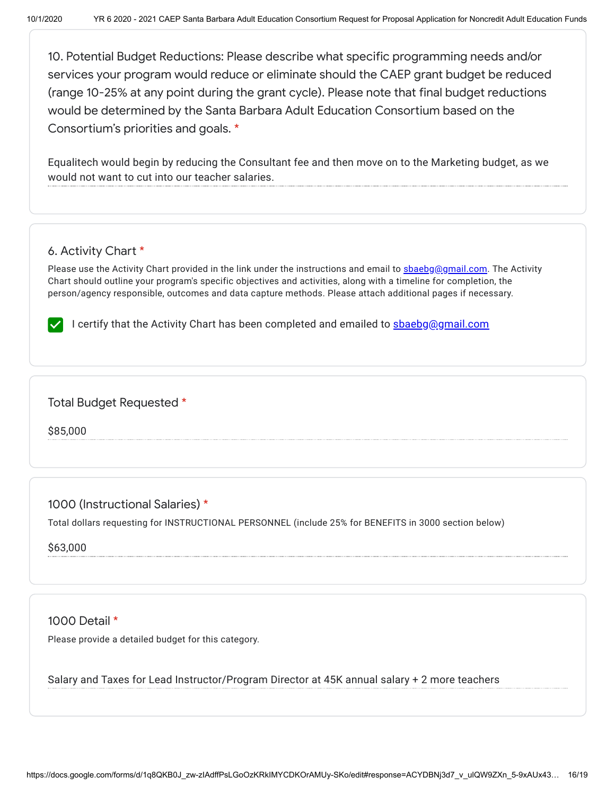10. Potential Budget Reductions: Please describe what specific programming needs and/or services your program would reduce or eliminate should the CAEP grant budget be reduced (range 10-25% at any point during the grant cycle). Please note that final budget reductions would be determined by the Santa Barbara Adult Education Consortium based on the Consortium's priorities and goals. \*

Equalitech would begin by reducing the Consultant fee and then move on to the Marketing budget, as we would not want to cut into our teacher salaries.

# 6. Activity Chart \*

Please use the Activity Chart provided in the link under the instructions and email to [sbaebg@gmail.com.](mailto:sbaebg@gmail.com) The Activity Chart should outline your program's specific objectives and activities, along with a timeline for completion, the person/agency responsible, outcomes and data capture methods. Please attach additional pages if necessary.

I certify that the Activity Chart has been completed and emailed to **shaebg@gmail.com** 

## Total Budget Requested \*

\$85,000

1000 (Instructional Salaries) \*

Total dollars requesting for INSTRUCTIONAL PERSONNEL (include 25% for BENEFITS in 3000 section below)

\$63,000

1000 Detail \*

Please provide a detailed budget for this category.

Salary and Taxes for Lead Instructor/Program Director at 45K annual salary + 2 more teachers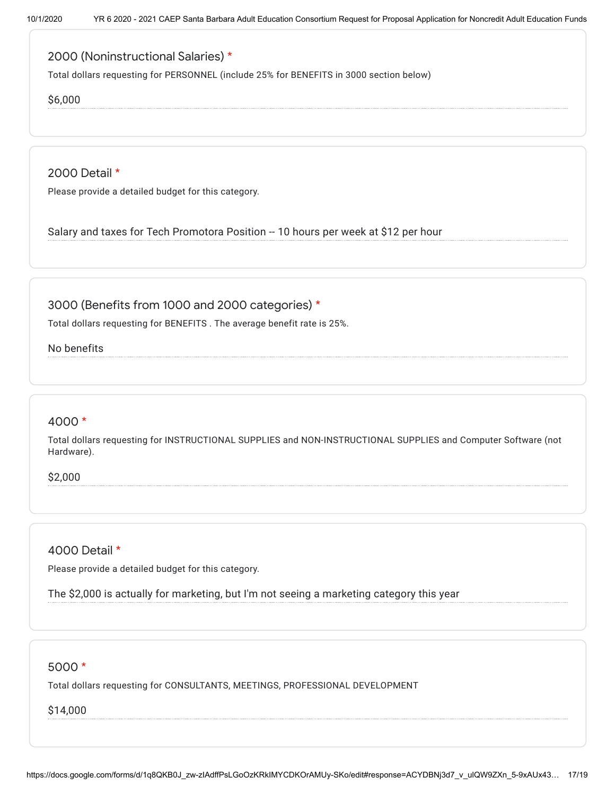# 2000 (Noninstructional Salaries) \*

Total dollars requesting for PERSONNEL (include 25% for BENEFITS in 3000 section below)

### \$6,000

2000 Detail \*

Please provide a detailed budget for this category.

Salary and taxes for Tech Promotora Position -- 10 hours per week at \$12 per hour

## 3000 (Benefits from 1000 and 2000 categories) \*

Total dollars requesting for BENEFITS . The average benefit rate is 25%.

### No benefits

### 4000 \*

Total dollars requesting for INSTRUCTIONAL SUPPLIES and NON-INSTRUCTIONAL SUPPLIES and Computer Software (not Hardware).

\$2,000

## 4000 Detail \*

Please provide a detailed budget for this category.

The \$2,000 is actually for marketing, but I'm not seeing a marketing category this year

### 5000 \*

Total dollars requesting for CONSULTANTS, MEETINGS, PROFESSIONAL DEVELOPMENT

#### \$14,000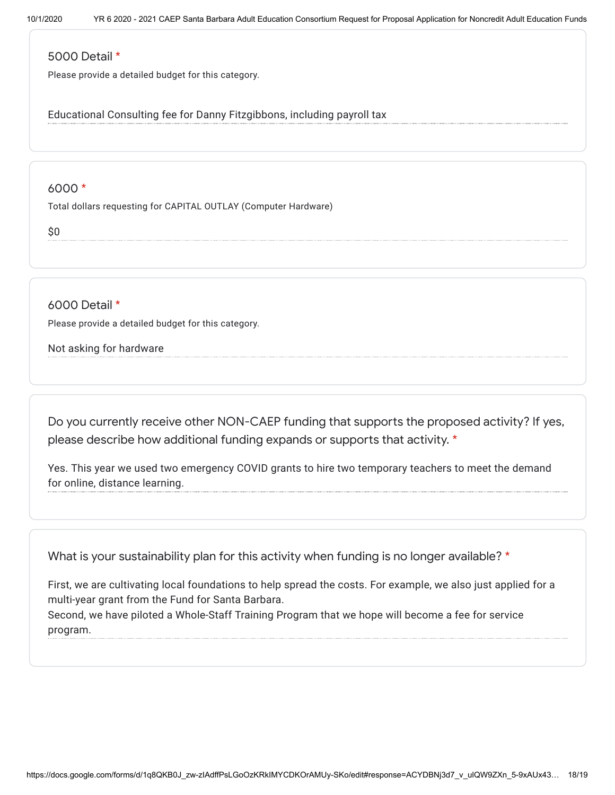### 5000 Detail \*

Please provide a detailed budget for this category.

Educational Consulting fee for Danny Fitzgibbons, including payroll tax

## 6000 \*

Total dollars requesting for CAPITAL OUTLAY (Computer Hardware)

\$0

6000 Detail \*

Please provide a detailed budget for this category.

## Not asking for hardware

Do you currently receive other NON-CAEP funding that supports the proposed activity? If yes, please describe how additional funding expands or supports that activity. \*

Yes. This year we used two emergency COVID grants to hire two temporary teachers to meet the demand for online, distance learning.

What is your sustainability plan for this activity when funding is no longer available? \*

First, we are cultivating local foundations to help spread the costs. For example, we also just applied for a multi-year grant from the Fund for Santa Barbara. Second, we have piloted a Whole-Staff Training Program that we hope will become a fee for service program.